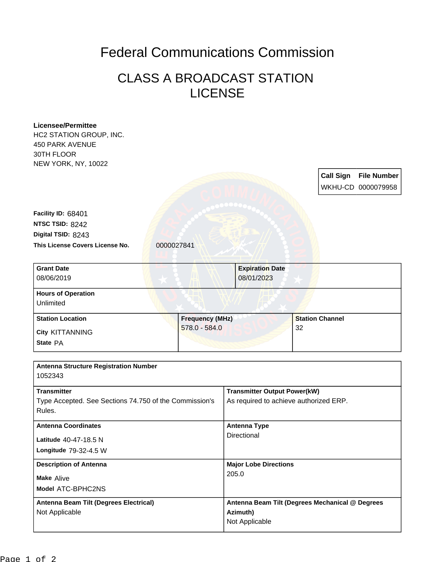## Federal Communications Commission

## CLASS A BROADCAST STATION LICENSE

| <b>Licensee/Permittee</b>                              |                        |                                        |                                                 |  |
|--------------------------------------------------------|------------------------|----------------------------------------|-------------------------------------------------|--|
| HC2 STATION GROUP, INC.                                |                        |                                        |                                                 |  |
| <b>450 PARK AVENUE</b>                                 |                        |                                        |                                                 |  |
| 30TH FLOOR                                             |                        |                                        |                                                 |  |
| NEW YORK, NY, 10022                                    |                        |                                        |                                                 |  |
|                                                        |                        |                                        | <b>Call Sign</b><br><b>File Number</b>          |  |
|                                                        |                        |                                        | WKHU-CD 0000079958                              |  |
|                                                        |                        |                                        |                                                 |  |
| Facility ID: 68401                                     |                        |                                        |                                                 |  |
| NTSC TSID: 8242                                        |                        |                                        |                                                 |  |
| Digital TSID: 8243                                     |                        |                                        |                                                 |  |
| This License Covers License No.                        | 0000027841             |                                        |                                                 |  |
|                                                        |                        |                                        |                                                 |  |
| <b>Grant Date</b>                                      |                        | <b>Expiration Date</b>                 |                                                 |  |
| 08/06/2019                                             |                        | 08/01/2023                             |                                                 |  |
|                                                        |                        |                                        |                                                 |  |
| <b>Hours of Operation</b>                              |                        |                                        |                                                 |  |
| Unlimited                                              |                        |                                        |                                                 |  |
| <b>Station Location</b>                                | <b>Frequency (MHz)</b> |                                        | <b>Station Channel</b>                          |  |
| City KITTANNING                                        | 578.0 - 584.0          |                                        | 32                                              |  |
| State PA                                               |                        |                                        |                                                 |  |
|                                                        |                        |                                        |                                                 |  |
| <b>Antenna Structure Registration Number</b>           |                        |                                        |                                                 |  |
| 1052343                                                |                        |                                        |                                                 |  |
|                                                        |                        |                                        |                                                 |  |
| <b>Transmitter</b>                                     |                        | <b>Transmitter Output Power(kW)</b>    |                                                 |  |
| Type Accepted. See Sections 74.750 of the Commission's |                        | As required to achieve authorized ERP. |                                                 |  |
| Rules.                                                 |                        |                                        |                                                 |  |
| <b>Antenna Coordinates</b>                             |                        |                                        | <b>Antenna Type</b>                             |  |
| Latitude 40-47-18.5 N                                  |                        | Directional                            |                                                 |  |
| Longitude 79-32-4.5 W                                  |                        |                                        |                                                 |  |
|                                                        |                        |                                        |                                                 |  |
| <b>Description of Antenna</b>                          |                        | <b>Major Lobe Directions</b><br>205.0  |                                                 |  |
| <b>Make Alive</b>                                      |                        |                                        |                                                 |  |
| Model ATC-BPHC2NS                                      |                        |                                        |                                                 |  |
| Antenna Beam Tilt (Degrees Electrical)                 |                        |                                        | Antenna Beam Tilt (Degrees Mechanical @ Degrees |  |
|                                                        |                        |                                        |                                                 |  |
| Not Applicable                                         |                        | Azimuth)                               |                                                 |  |
|                                                        |                        | Not Applicable                         |                                                 |  |